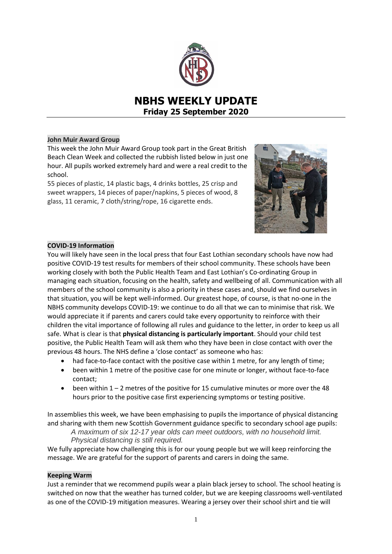

# **NBHS WEEKLY UPDATE Friday 25 September 2020**

# **John Muir Award Group**

This week the John Muir Award Group took part in the Great British Beach Clean Week and collected the rubbish listed below in just one hour. All pupils worked extremely hard and were a real credit to the school.

55 pieces of plastic, 14 plastic bags, 4 drinks bottles, 25 crisp and sweet wrappers, 14 pieces of paper/napkins, 5 pieces of wood, 8 glass, 11 ceramic, 7 cloth/string/rope, 16 cigarette ends.



# **COVID-19 Information**

You will likely have seen in the local press that four East Lothian secondary schools have now had positive COVID-19 test results for members of their school community. These schools have been working closely with both the Public Health Team and East Lothian's Co-ordinating Group in managing each situation, focusing on the health, safety and wellbeing of all. Communication with all members of the school community is also a priority in these cases and, should we find ourselves in that situation, you will be kept well-informed. Our greatest hope, of course, is that no-one in the NBHS community develops COVID-19: we continue to do all that we can to minimise that risk. We would appreciate it if parents and carers could take every opportunity to reinforce with their children the vital importance of following all rules and guidance to the letter, in order to keep us all safe. What is clear is that **physical distancing is particularly important**. Should your child test positive, the Public Health Team will ask them who they have been in close contact with over the previous 48 hours. The NHS define a 'close contact' as someone who has:

- had face-to-face contact with the positive case within 1 metre, for any length of time;
- been within 1 metre of the positive case for one minute or longer, without face-to-face contact;
- been within 1 2 metres of the positive for 15 cumulative minutes or more over the 48 hours prior to the positive case first experiencing symptoms or testing positive.

In assemblies this week, we have been emphasising to pupils the importance of physical distancing and sharing with them new Scottish Government guidance specific to secondary school age pupils:

*A maximum of six 12-17 year olds can meet outdoors, with no household limit. Physical distancing is still required.*

We fully appreciate how challenging this is for our young people but we will keep reinforcing the message. We are grateful for the support of parents and carers in doing the same.

## **Keeping Warm**

Just a reminder that we recommend pupils wear a plain black jersey to school. The school heating is switched on now that the weather has turned colder, but we are keeping classrooms well-ventilated as one of the COVID-19 mitigation measures. Wearing a jersey over their school shirt and tie will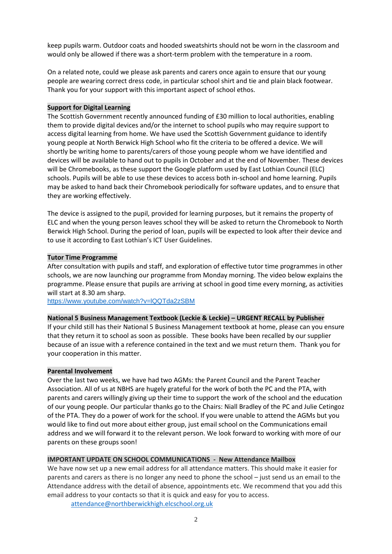keep pupils warm. Outdoor coats and hooded sweatshirts should not be worn in the classroom and would only be allowed if there was a short-term problem with the temperature in a room.

On a related note, could we please ask parents and carers once again to ensure that our young people are wearing correct dress code, in particular school shirt and tie and plain black footwear. Thank you for your support with this important aspect of school ethos.

### **Support for Digital Learning**

The Scottish Government recently announced funding of £30 million to local authorities, enabling them to provide digital devices and/or the internet to school pupils who may require support to access digital learning from home. We have used the Scottish Government guidance to identify young people at North Berwick High School who fit the criteria to be offered a device. We will shortly be writing home to parents/carers of those young people whom we have identified and devices will be available to hand out to pupils in October and at the end of November. These devices will be Chromebooks, as these support the Google platform used by East Lothian Council (ELC) schools. Pupils will be able to use these devices to access both in-school and home learning. Pupils may be asked to hand back their Chromebook periodically for software updates, and to ensure that they are working effectively.

The device is assigned to the pupil, provided for learning purposes, but it remains the property of ELC and when the young person leaves school they will be asked to return the Chromebook to North Berwick High School. During the period of loan, pupils will be expected to look after their device and to use it according to East Lothian's ICT User Guidelines.

#### **Tutor Time Programme**

After consultation with pupils and staff, and exploration of effective tutor time programmes in other schools, we are now launching our programme from Monday morning. The video below explains the programme. Please ensure that pupils are arriving at school in good time every morning, as activities will start at 8.30 am sharp.

<https://www.youtube.com/watch?v=lQQTda2zSBM>

#### **National 5 Business Management Textbook (Leckie & Leckie) – URGENT RECALL by Publisher**

If your child still has their National 5 Business Management textbook at home, please can you ensure that they return it to school as soon as possible. These books have been recalled by our supplier because of an issue with a reference contained in the text and we must return them. Thank you for your cooperation in this matter.

## **Parental Involvement**

Over the last two weeks, we have had two AGMs: the Parent Council and the Parent Teacher Association. All of us at NBHS are hugely grateful for the work of both the PC and the PTA, with parents and carers willingly giving up their time to support the work of the school and the education of our young people. Our particular thanks go to the Chairs: Niall Bradley of the PC and Julie Cetingoz of the PTA. They do a power of work for the school. If you were unable to attend the AGMs but you would like to find out more about either group, just email school on the Communications email address and we will forward it to the relevant person. We look forward to working with more of our parents on these groups soon!

# **IMPORTANT UPDATE ON SCHOOL COMMUNICATIONS - New Attendance Mailbox**

We have now set up a new email address for all attendance matters. This should make it easier for parents and carers as there is no longer any need to phone the school – just send us an email to the Attendance address with the detail of absence, appointments etc. We recommend that you add this email address to your contacts so that it is quick and easy for you to access.

[attendance@northberwickhigh.elcschool.org.uk](mailto:attendance@northberwickhigh.elcschool.org.uk)